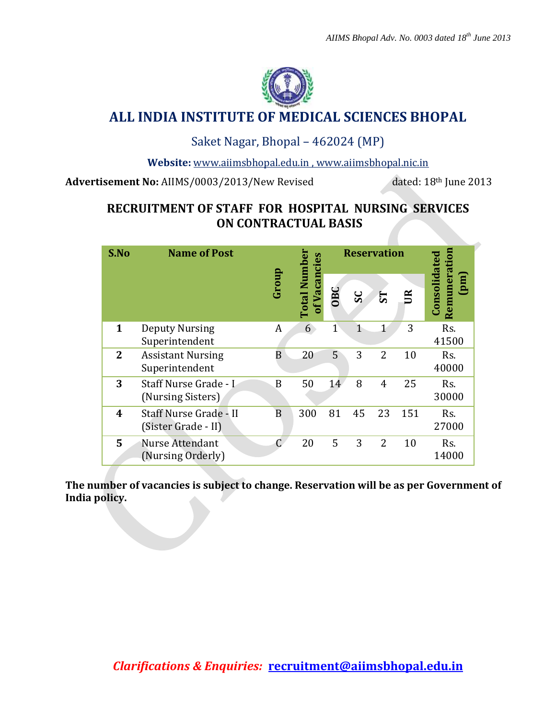

# **ALL INDIA INSTITUTE OF MEDICAL SCIENCES BHOPAL**

### Saket Nagar, Bhopal – 462024 (MP)

**Website:** [www.aiimsbhopal.edu.in](http://www.aiimsbhopal.edu.in/) ,<www.aiimsbhopal.nic.in>

Advertisement No: AIIMS/0003/2013/New Revised dated: 18<sup>th</sup> June 2013

## **RECRUITMENT OF STAFF FOR HOSPITAL NURSING SERVICES ON CONTRACTUAL BASIS**

| S.No         | <b>Name of Post</b>                           |       |                                     | <b>Reservation</b> |    |                |              |                                              |
|--------------|-----------------------------------------------|-------|-------------------------------------|--------------------|----|----------------|--------------|----------------------------------------------|
|              |                                               | Group | <b>Total Number</b><br>of Vacancies | <b>OBC</b>         | SC | 51             | $\mathbb{E}$ | Remuneration<br>Consolidated<br>$\mathbf{m}$ |
| 1            | <b>Deputy Nursing</b><br>Superintendent       | A     | 6                                   | $\overline{1}$     | 1  | $\mathbf{1}$   | 3            | Rs.<br>41500                                 |
| $\mathbf{2}$ | <b>Assistant Nursing</b><br>Superintendent    | B     | 20                                  | 5                  | 3  | 2              | 10           | Rs.<br>40000                                 |
| 3            | Staff Nurse Grade - I<br>(Nursing Sisters)    | B     | 50                                  | 14                 | 8  | $\overline{4}$ | 25           | Rs.<br>30000                                 |
| 4            | Staff Nurse Grade - II<br>(Sister Grade - II) | B     | 300                                 | 81                 | 45 | 23             | 151          | Rs.<br>27000                                 |
| 5            | Nurse Attendant<br>(Nursing Orderly)          | Ć     | 20                                  | 5                  | 3  | $\overline{2}$ | 10           | Rs.<br>14000                                 |

**The number of vacancies is subject to change. Reservation will be as per Government of India policy.**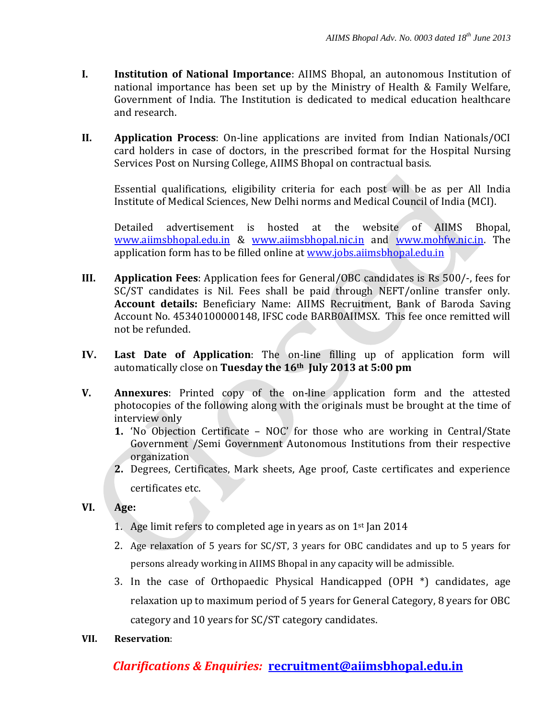- **I. Institution of National Importance**: AIIMS Bhopal, an autonomous Institution of national importance has been set up by the Ministry of Health & Family Welfare, Government of India. The Institution is dedicated to medical education healthcare and research.
- **II. Application Process**: On-line applications are invited from Indian Nationals/OCI card holders in case of doctors, in the prescribed format for the Hospital Nursing Services Post on Nursing College, AIIMS Bhopal on contractual basis.

Essential qualifications, eligibility criteria for each post will be as per All India Institute of Medical Sciences, New Delhi norms and Medical Council of India (MCI).

Detailed advertisement is hosted at the website of AIIMS Bhopal, [www.aiimsbhopal.edu.in](http://www.aiimsbhopal.edu.in/) & [www.aiimsbhopal.nic.in](http://www.aiimsbhopal.nic.in/) and [www.mohfw.nic.in.](http://www.mohfw.nic.in/) The application form has to be filled online at [www.jobs.aiimsbhopal.edu.in](http://www.jobs.aiimsbhopal.edu.in/)

- **III. Application Fees**: Application fees for General/OBC candidates is Rs 500/-, fees for SC/ST candidates is Nil. Fees shall be paid through NEFT/online transfer only. **Account details:** Beneficiary Name: AIIMS Recruitment, Bank of Baroda Saving Account No. 45340100000148, IFSC code BARB0AIIMSX. This fee once remitted will not be refunded.
- **IV. Last Date of Application**: The on-line filling up of application form will automatically close on **Tuesday the 16th July 2013 at 5:00 pm**
- **V. Annexures**: Printed copy of the on-line application form and the attested photocopies of the following along with the originals must be brought at the time of interview only
	- **1.** 'No Objection Certificate NOC' for those who are working in Central/State Government /Semi Government Autonomous Institutions from their respective organization
	- **2.** Degrees, Certificates, Mark sheets, Age proof, Caste certificates and experience certificates etc.
- **VI. Age:**
	- 1. Age limit refers to completed age in years as on  $1<sup>st</sup>$  Jan 2014
	- 2. Age relaxation of 5 years for SC/ST, 3 years for OBC candidates and up to 5 years for persons already working in AIIMS Bhopal in any capacity will be admissible.
	- 3. In the case of Orthopaedic Physical Handicapped (OPH \*) candidates, age relaxation up to maximum period of 5 years for General Category, 8 years for OBC category and 10 years for SC/ST category candidates.
- **VII. Reservation**:

### *Clarifications & Enquiries:* **recruitment@aiimsbhopal.edu.in**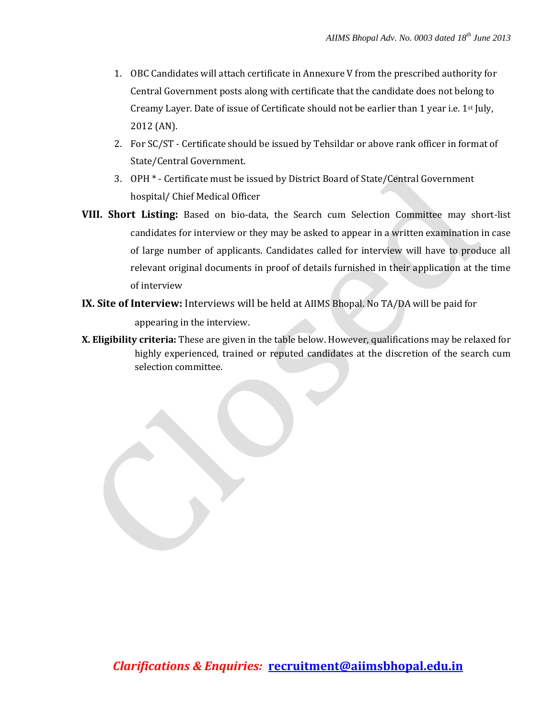- 1. OBC Candidates will attach certificate in Annexure V from the prescribed authority for Central Government posts along with certificate that the candidate does not belong to Creamy Layer. Date of issue of Certificate should not be earlier than 1 year i.e.  $1^{st}$  July, 2012 (AN).
- 2. For SC/ST Certificate should be issued by Tehsildar or above rank officer in format of State/Central Government.
- 3. OPH \* Certificate must be issued by District Board of State/Central Government hospital/ Chief Medical Officer
- **VIII. Short Listing:** Based on bio-data, the Search cum Selection Committee may short-list candidates for interview or they may be asked to appear in a written examination in case of large number of applicants. Candidates called for interview will have to produce all relevant original documents in proof of details furnished in their application at the time of interview
- **IX. Site of Interview:** Interviews will be held at AIIMS Bhopal. No TA/DA will be paid for

appearing in the interview.

**X. Eligibility criteria:** These are given in the table below. However, qualifications may be relaxed for highly experienced, trained or reputed candidates at the discretion of the search cum selection committee.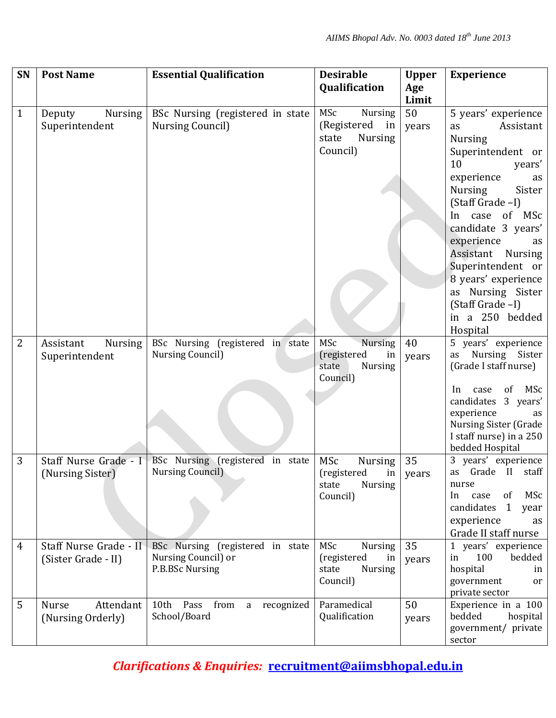| SN             | <b>Post Name</b>            | <b>Essential Qualification</b>    | <b>Desirable</b>                    | <b>Upper</b> | <b>Experience</b>                          |
|----------------|-----------------------------|-----------------------------------|-------------------------------------|--------------|--------------------------------------------|
|                |                             |                                   | Qualification                       | Age          |                                            |
|                |                             |                                   |                                     | Limit        |                                            |
| $\mathbf{1}$   | Nursing<br>Deputy           | BSc Nursing (registered in state  | MSc<br><b>Nursing</b>               | 50           | 5 years' experience                        |
|                | Superintendent              | <b>Nursing Council)</b>           | (Registered in                      | years        | Assistant<br>as                            |
|                |                             |                                   | state<br><b>Nursing</b>             |              | <b>Nursing</b>                             |
|                |                             |                                   | Council)                            |              | Superintendent or                          |
|                |                             |                                   |                                     |              | 10<br>years'                               |
|                |                             |                                   |                                     |              | experience<br>as                           |
|                |                             |                                   |                                     |              | Sister<br><b>Nursing</b>                   |
|                |                             |                                   |                                     |              | (Staff Grade -I)                           |
|                |                             |                                   |                                     |              | In case of MSc                             |
|                |                             |                                   |                                     |              | candidate 3 years'                         |
|                |                             |                                   |                                     |              | experience<br>as                           |
|                |                             |                                   |                                     |              | Assistant<br>Nursing                       |
|                |                             |                                   |                                     |              | Superintendent or                          |
|                |                             |                                   |                                     |              | 8 years' experience                        |
|                |                             |                                   |                                     |              | as Nursing Sister                          |
|                |                             |                                   |                                     |              | (Staff Grade -I)                           |
|                |                             |                                   |                                     |              | in a 250 bedded                            |
|                |                             | BSc Nursing (registered in state  | MSc<br>Nursing                      | 40           | Hospital<br>5 years' experience            |
| $\overline{2}$ | <b>Nursing</b><br>Assistant | <b>Nursing Council)</b>           | (registered<br>in                   |              | Nursing Sister<br>as                       |
|                | Superintendent              |                                   | state<br><b>Nursing</b>             | years        | (Grade I staff nurse)                      |
|                |                             |                                   | Council)                            |              |                                            |
|                |                             |                                   |                                     |              | MSc<br>of<br>In<br>case                    |
|                |                             |                                   |                                     |              | candidates 3 years'                        |
|                |                             |                                   |                                     |              | experience<br>as                           |
|                |                             |                                   |                                     |              | Nursing Sister (Grade                      |
|                |                             |                                   |                                     |              | I staff nurse) in a 250<br>bedded Hospital |
| 3              | Staff Nurse Grade - I       | BSc Nursing (registered in state  | MSc<br><b>Nursing</b>               | 35           | 3 years' experience                        |
|                | (Nursing Sister)            | <b>Nursing Council)</b>           | (registered in                      | years        | as Grade II staff                          |
|                |                             |                                   | <b>Nursing</b><br>state             |              | nurse                                      |
|                |                             |                                   | Council)                            |              | MSc<br>of<br>In<br>case                    |
|                |                             |                                   |                                     |              | candidates<br>1<br>year                    |
|                |                             |                                   |                                     |              | experience<br>as                           |
|                |                             |                                   |                                     |              | Grade II staff nurse                       |
| 4              | Staff Nurse Grade - II      | BSc Nursing (registered in state  | MSc<br>Nursing                      | 35           | 1 years' experience                        |
|                | (Sister Grade - II)         | Nursing Council) or               | (registered<br>in                   | years        | bedded<br>100<br>in                        |
|                |                             | P.B.BSc Nursing                   | state<br><b>Nursing</b><br>Council) |              | hospital<br>in                             |
|                |                             |                                   |                                     |              | government<br>or<br>private sector         |
| 5              | Attendant<br><b>Nurse</b>   | 10th Pass<br>from<br>a recognized | Paramedical                         | 50           | Experience in a 100                        |
|                | (Nursing Orderly)           | School/Board                      | Qualification                       | years        | bedded<br>hospital                         |
|                |                             |                                   |                                     |              | government/ private                        |
|                |                             |                                   |                                     |              | sector                                     |